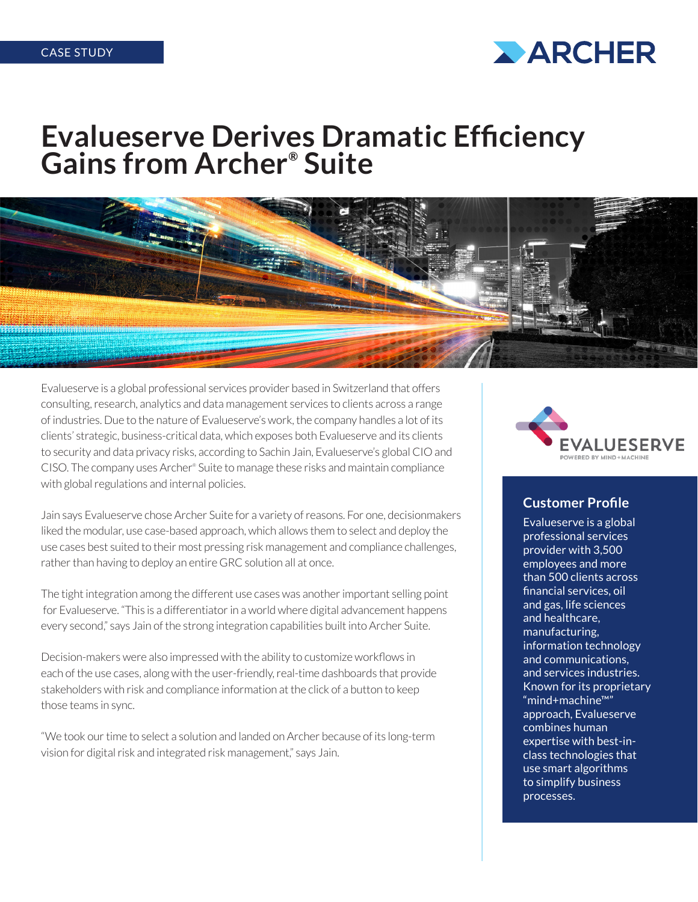

# **Evalueserve Derives Dramatic Efficiency Gains from Archer® Suite**



Evalueserve is a global professional services provider based in Switzerland that offers consulting, research, analytics and data management services to clients across a range of industries. Due to the nature of Evalueserve's work, the company handles a lot of its clients' strategic, business-critical data, which exposes both Evalueserve and its clients to security and data privacy risks, according to Sachin Jain, Evalueserve's global CIO and CISO. The company uses Archer® Suite to manage these risks and maintain compliance with global regulations and internal policies.

Jain says Evalueserve chose Archer Suite for a variety of reasons. For one, decisionmakers liked the modular, use case-based approach, which allows them to select and deploy the use cases best suited to their most pressing risk management and compliance challenges, rather than having to deploy an entire GRC solution all at once.

The tight integration among the different use cases was another important selling point for Evalueserve. "This is a differentiator in a world where digital advancement happens every second," says Jain of the strong integration capabilities built into Archer Suite.

Decision-makers were also impressed with the ability to customize workflows in each of the use cases, along with the user-friendly, real-time dashboards that provide stakeholders with risk and compliance information at the click of a button to keep those teams in sync.

"We took our time to select a solution and landed on Archer because of its long-term vision for digital risk and integrated risk management," says Jain.



#### **Customer Profile**

Evalueserve is a global professional services provider with 3,500 employees and more than 500 clients across financial services, oil and gas, life sciences and healthcare, manufacturing, information technology and communications, and services industries. Known for its proprietary "mind+machine™" approach, Evalueserve combines human expertise with best-inclass technologies that use smart algorithms to simplify business processes.